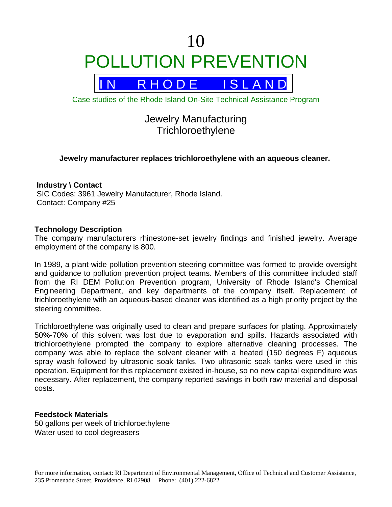# 10 POLLUTION PREVENTION



Case studies of the Rhode Island On-Site Technical Assistance Program

# Jewelry Manufacturing **Trichloroethylene**

# **Jewelry manufacturer replaces trichloroethylene with an aqueous cleaner.**

## **Industry \ Contact**

 SIC Codes: 3961 Jewelry Manufacturer, Rhode Island. Contact: Company #25

#### **Technology Description**

The company manufacturers rhinestone-set jewelry findings and finished jewelry. Average employment of the company is 800.

In 1989, a plant-wide pollution prevention steering committee was formed to provide oversight and guidance to pollution prevention project teams. Members of this committee included staff from the RI DEM Pollution Prevention program, University of Rhode Island's Chemical Engineering Department, and key departments of the company itself. Replacement of trichloroethylene with an aqueous-based cleaner was identified as a high priority project by the steering committee.

Trichloroethylene was originally used to clean and prepare surfaces for plating. Approximately 50%-70% of this solvent was lost due to evaporation and spills. Hazards associated with trichloroethylene prompted the company to explore alternative cleaning processes. The company was able to replace the solvent cleaner with a heated (150 degrees F) aqueous spray wash followed by ultrasonic soak tanks. Two ultrasonic soak tanks were used in this operation. Equipment for this replacement existed in-house, so no new capital expenditure was necessary. After replacement, the company reported savings in both raw material and disposal costs.

#### **Feedstock Materials**

50 gallons per week of trichloroethylene Water used to cool degreasers